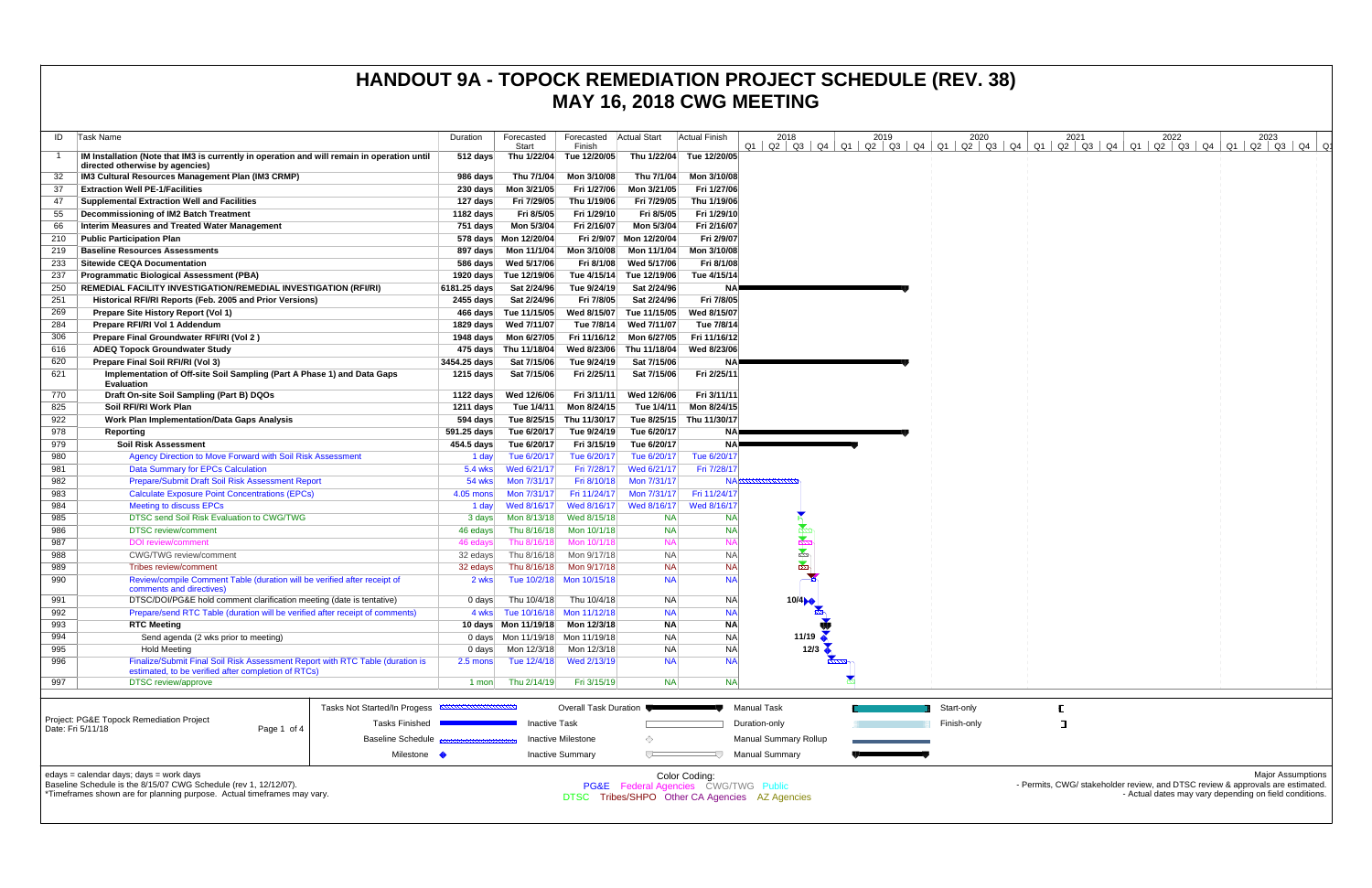| ID         | Task Name                                                                                                                                                                              | Duration                | Forecasted<br>Start              | Forecasted<br>Finish             | <b>Actual Start</b>     | <b>Actual Finish</b>                                  | 2018                                           | 2019 | 2020<br>$Q1$   $Q2$   $Q3$   $Q4$   $Q1$   $Q2$   $Q3$   $Q4$   $Q1$   $Q2$   $Q3$   $Q4$   $Q1$ | 2021<br>Q2   Q3   Q4   Q1 | 2022<br>Q2   Q3   Q4   Q1 | 2023<br>  Q2   Q3   Q4                                                                                                                                               |
|------------|----------------------------------------------------------------------------------------------------------------------------------------------------------------------------------------|-------------------------|----------------------------------|----------------------------------|-------------------------|-------------------------------------------------------|------------------------------------------------|------|--------------------------------------------------------------------------------------------------|---------------------------|---------------------------|----------------------------------------------------------------------------------------------------------------------------------------------------------------------|
|            | IM Installation (Note that IM3 is currently in operation and will remain in operation until<br>directed otherwise by agencies)                                                         | 512 days                |                                  | Thu 1/22/04 Tue 12/20/05         | Thu 1/22/04             | Tue 12/20/05                                          |                                                |      |                                                                                                  |                           |                           |                                                                                                                                                                      |
|            | IM3 Cultural Resources Management Plan (IM3 CRMP)                                                                                                                                      | 986 days                | Thu 7/1/04                       | Mon 3/10/08                      | Thu 7/1/04              | Mon 3/10/08                                           |                                                |      |                                                                                                  |                           |                           |                                                                                                                                                                      |
| -37        | <b>Extraction Well PE-1/Facilities</b>                                                                                                                                                 | $230 \text{ days}$      | Mon 3/21/05                      | Fri 1/27/06                      | Mon 3/21/05             | Fri 1/27/06                                           |                                                |      |                                                                                                  |                           |                           |                                                                                                                                                                      |
| 47         | <b>Supplemental Extraction Well and Facilities</b>                                                                                                                                     | 127 days                | Fri 7/29/05                      | Thu 1/19/06                      | Fri 7/29/05             | Thu 1/19/06                                           |                                                |      |                                                                                                  |                           |                           |                                                                                                                                                                      |
| 55         | Decommissioning of IM2 Batch Treatment                                                                                                                                                 | 1182 days               | Fri 8/5/05                       | Fri 1/29/10                      | Fri 8/5/05              | Fri 1/29/10                                           |                                                |      |                                                                                                  |                           |                           |                                                                                                                                                                      |
| 66         | <b>Interim Measures and Treated Water Management</b>                                                                                                                                   | 751 days                | Mon 5/3/04                       | Fri 2/16/07                      | Mon 5/3/04              | Fri 2/16/07                                           |                                                |      |                                                                                                  |                           |                           |                                                                                                                                                                      |
| 210        | <b>Public Participation Plan</b>                                                                                                                                                       |                         | 578 days Mon 12/20/04            |                                  | Fri 2/9/07 Mon 12/20/04 | Fri 2/9/07                                            |                                                |      |                                                                                                  |                           |                           |                                                                                                                                                                      |
| 219        | <b>Baseline Resources Assessments</b>                                                                                                                                                  | 897 days                | Mon 11/1/04                      | Mon 3/10/08                      | Mon 11/1/04             | Mon 3/10/08                                           |                                                |      |                                                                                                  |                           |                           |                                                                                                                                                                      |
| 233        | <b>Sitewide CEQA Documentation</b>                                                                                                                                                     |                         | 586 days Wed 5/17/06             | Fri 8/1/08                       | Wed 5/17/06             | Fri 8/1/08                                            |                                                |      |                                                                                                  |                           |                           |                                                                                                                                                                      |
| 237        | <b>Programmatic Biological Assessment (PBA)</b>                                                                                                                                        |                         | 1920 days Tue 12/19/06           | Tue 4/15/14                      | Tue 12/19/06            | Tue 4/15/14                                           |                                                |      |                                                                                                  |                           |                           |                                                                                                                                                                      |
| 250        | REMEDIAL FACILITY INVESTIGATION/REMEDIAL INVESTIGATION (RFI/RI)                                                                                                                        | 6181.25 days            | Sat 2/24/96                      | Tue 9/24/19                      | Sat 2/24/96             | ΝA                                                    |                                                |      |                                                                                                  |                           |                           |                                                                                                                                                                      |
| 251        | Historical RFI/RI Reports (Feb. 2005 and Prior Versions)                                                                                                                               | 2455 days               | Sat 2/24/96                      | Fri 7/8/05                       | Sat 2/24/96             | Fri 7/8/05                                            |                                                |      |                                                                                                  |                           |                           |                                                                                                                                                                      |
| 269        | Prepare Site History Report (Vol 1)                                                                                                                                                    |                         | 466 days Tue 11/15/05            | Wed 8/15/07                      | Tue 11/15/05            | Wed 8/15/07                                           |                                                |      |                                                                                                  |                           |                           |                                                                                                                                                                      |
| 284        | Prepare RFI/RI Vol 1 Addendum                                                                                                                                                          | 1829 days               | Wed 7/11/07                      | Tue 7/8/14                       | Wed 7/11/07             | Tue 7/8/14                                            |                                                |      |                                                                                                  |                           |                           |                                                                                                                                                                      |
| 306        | Prepare Final Groundwater RFI/RI (Vol 2)                                                                                                                                               | 1948 days               | Mon 6/27/05                      | Fri 11/16/12                     | Mon 6/27/05             | Fri 11/16/12                                          |                                                |      |                                                                                                  |                           |                           |                                                                                                                                                                      |
| 616        | <b>ADEQ Topock Groundwater Study</b>                                                                                                                                                   |                         | 475 days Thu 11/18/04            | Wed 8/23/06                      | Thu 11/18/04            | Wed 8/23/06                                           |                                                |      |                                                                                                  |                           |                           |                                                                                                                                                                      |
| 620        | Prepare Final Soil RFI/RI (Vol 3)                                                                                                                                                      | 3454.25 days            | Sat 7/15/06                      | Tue 9/24/19                      | Sat 7/15/06             | ΝA                                                    |                                                |      |                                                                                                  |                           |                           |                                                                                                                                                                      |
| 621        | Implementation of Off-site Soil Sampling (Part A Phase 1) and Data Gaps<br><b>Evaluation</b>                                                                                           | 1215 days               | Sat 7/15/06                      | Fri 2/25/11                      | Sat 7/15/06             | Fri 2/25/11                                           |                                                |      |                                                                                                  |                           |                           |                                                                                                                                                                      |
| 770        | Draft On-site Soil Sampling (Part B) DQOs                                                                                                                                              | 1122 days               | Wed 12/6/06                      | Fri 3/11/11                      | Wed 12/6/06             | Fri 3/11/11                                           |                                                |      |                                                                                                  |                           |                           |                                                                                                                                                                      |
| 825        | Soil RFI/RI Work Plan                                                                                                                                                                  | 1211 days               | Tue 1/4/11                       | Mon 8/24/15                      | Tue 1/4/11              | Mon 8/24/15                                           |                                                |      |                                                                                                  |                           |                           |                                                                                                                                                                      |
| 922<br>978 | <b>Work Plan Implementation/Data Gaps Analysis</b>                                                                                                                                     | 594 days<br>591.25 days | Tue 8/25/15<br>Tue 6/20/17       | Thu 11/30/17<br>Tue 9/24/19      | Tue 6/20/17             | Tue 8/25/15 Thu 11/30/17<br>NA.                       |                                                |      |                                                                                                  |                           |                           |                                                                                                                                                                      |
| 979        | Reporting<br><b>Soil Risk Assessment</b>                                                                                                                                               | 454.5 days              | Tue 6/20/17                      | Fri 3/15/19                      | Tue 6/20/17             | <b>NA</b>                                             |                                                |      |                                                                                                  |                           |                           |                                                                                                                                                                      |
| 980        | Agency Direction to Move Forward with Soil Risk Assessment                                                                                                                             | 1 day                   | Tue 6/20/17                      | Tue 6/20/17                      | Tue 6/20/17             | Tue 6/20/17                                           |                                                |      |                                                                                                  |                           |                           |                                                                                                                                                                      |
| 981        | <b>Data Summary for EPCs Calculation</b>                                                                                                                                               | 5.4 wks                 | Wed 6/21/17                      | Fri 7/28/17                      | Wed 6/21/17             | Fri 7/28/17                                           |                                                |      |                                                                                                  |                           |                           |                                                                                                                                                                      |
| 982        | Prepare/Submit Draft Soil Risk Assessment Report                                                                                                                                       | 54 wks                  | Mon 7/31/17                      | Fri 8/10/18                      | Mon 7/31/17             | ΝA                                                    |                                                |      |                                                                                                  |                           |                           |                                                                                                                                                                      |
| 983        | <b>Calculate Exposure Point Concentrations (EPCs)</b>                                                                                                                                  | 4.05 mons               | Mon 7/31/17                      | Fri 11/24/17                     | Mon 7/31/17             | Fri 11/24/17                                          |                                                |      |                                                                                                  |                           |                           |                                                                                                                                                                      |
| 984        | <b>Meeting to discuss EPCs</b>                                                                                                                                                         | 1 day                   | Wed 8/16/17                      | Wed 8/16/17                      | Wed 8/16/17             | Wed 8/16/17                                           |                                                |      |                                                                                                  |                           |                           |                                                                                                                                                                      |
| 985        | DTSC send Soil Risk Evaluation to CWG/TWG                                                                                                                                              | 3 days                  | Mon 8/13/18                      | Wed 8/15/18                      | <b>NA</b>               | NA                                                    |                                                |      |                                                                                                  |                           |                           |                                                                                                                                                                      |
| 986        | <b>DTSC</b> review/comment                                                                                                                                                             | 46 edays                | Thu 8/16/18                      | Mon 10/1/18                      | <b>NA</b>               | <b>NA</b>                                             |                                                |      |                                                                                                  |                           |                           |                                                                                                                                                                      |
| 987        | <b>DOI</b> review/comment                                                                                                                                                              | 46 edays                | Thu 8/16/18                      | Mon 10/1/18                      | <b>NA</b>               | <b>NA</b>                                             |                                                |      |                                                                                                  |                           |                           |                                                                                                                                                                      |
| 988        | CWG/TWG review/comment                                                                                                                                                                 | 32 edays                | Thu 8/16/18                      | Mon 9/17/18                      | <b>NA</b>               | <b>NA</b>                                             | <b>No-</b>                                     |      |                                                                                                  |                           |                           |                                                                                                                                                                      |
| 989        | Tribes review/comment                                                                                                                                                                  | 32 edays                | Thu 8/16/18                      | Mon 9/17/18                      | <b>NA</b>               | <b>NA</b>                                             | $\sum_{i=1}^n$                                 |      |                                                                                                  |                           |                           |                                                                                                                                                                      |
| 990        | Review/compile Comment Table (duration will be verified after receipt of<br>comments and directives)                                                                                   | 2 wks                   |                                  | Tue 10/2/18 Mon 10/15/18         | <b>NA</b>               | <b>NA</b>                                             |                                                |      |                                                                                                  |                           |                           |                                                                                                                                                                      |
| 991        | DTSC/DOI/PG&E hold comment clarification meeting (date is tentative)                                                                                                                   | $0$ days                | Thu 10/4/18                      | Thu 10/4/18                      | <b>NA</b>               | <b>NA</b>                                             | 10/4                                           |      |                                                                                                  |                           |                           |                                                                                                                                                                      |
| 992        | Prepare/send RTC Table (duration will be verified after receipt of comments)                                                                                                           |                         | 4 wks Tue 10/16/18 Mon 11/12/18  |                                  | <b>NA</b>               | <b>NA</b>                                             |                                                |      |                                                                                                  |                           |                           |                                                                                                                                                                      |
| 993        | <b>RTC Meeting</b>                                                                                                                                                                     |                         | 10 days Mon 11/19/18 Mon 12/3/18 |                                  | <b>NA</b>               | <b>NA</b>                                             |                                                |      |                                                                                                  |                           |                           |                                                                                                                                                                      |
| 994        | Send agenda (2 wks prior to meeting)                                                                                                                                                   |                         |                                  | 0 days Mon 11/19/18 Mon 11/19/18 | <b>NA</b>               | <b>NA</b>                                             | 11/19                                          |      |                                                                                                  |                           |                           |                                                                                                                                                                      |
| 995        | <b>Hold Meeting</b>                                                                                                                                                                    | 0 days                  | Mon 12/3/18                      | Mon 12/3/18                      | <b>NA</b>               | <b>NA</b>                                             | 12/3                                           |      |                                                                                                  |                           |                           |                                                                                                                                                                      |
| 996        | Finalize/Submit Final Soil Risk Assessment Report with RTC Table (duration is<br>estimated, to be verified after completion of RTCs)                                                   | $2.5 \text{ mon}$       | Tue 12/4/18                      | Wed 2/13/19                      | <b>NA</b>               | <b>NA</b>                                             |                                                |      |                                                                                                  |                           |                           |                                                                                                                                                                      |
| 997        | <b>DTSC</b> review/approve                                                                                                                                                             | 1 mon                   | Thu 2/14/19                      | Fri 3/15/19                      | <b>NA</b>               | <b>NA</b>                                             |                                                |      |                                                                                                  |                           |                           |                                                                                                                                                                      |
|            |                                                                                                                                                                                        |                         |                                  |                                  |                         |                                                       |                                                |      |                                                                                                  |                           |                           |                                                                                                                                                                      |
|            | Tasks Not Started/In Progess                                                                                                                                                           |                         |                                  | Overall Task Duration            |                         |                                                       | <b>Manual Task</b>                             |      | Start-only                                                                                       |                           |                           |                                                                                                                                                                      |
|            | Project: PG&E Topock Remediation Project<br><b>Tasks Finished</b><br>Date: Fri 5/11/18<br>Page 1 of 4                                                                                  |                         | <b>Inactive Task</b>             |                                  |                         |                                                       | Duration-only                                  |      | Finish-only                                                                                      | ┑                         |                           |                                                                                                                                                                      |
|            | <b>Baseline Schedule</b>                                                                                                                                                               |                         |                                  | <b>Inactive Milestone</b>        | ◇                       |                                                       | <b>Manual Summary Rollup</b>                   |      |                                                                                                  |                           |                           |                                                                                                                                                                      |
|            | Milestone •                                                                                                                                                                            |                         |                                  | <b>Inactive Summary</b>          |                         |                                                       | <b>Manual Summary</b>                          |      |                                                                                                  |                           |                           |                                                                                                                                                                      |
|            | edays = calendar days; days = work days<br>Baseline Schedule is the 8/15/07 CWG Schedule (rev 1, 12/12/07).<br>*Timeframes shown are for planning purpose. Actual timeframes may vary. |                         |                                  |                                  |                         | Color Coding:<br>PG&E Federal Agencies CWG/TWG Public | DTSC Tribes/SHPO Other CA Agencies AZ Agencies |      |                                                                                                  |                           |                           | <b>Major Assumptions</b><br>- Permits, CWG/ stakeholder review, and DTSC review & approvals are estimated.<br>- Actual dates may vary depending on field conditions. |

### **HANDOUT 9A - TOPOCK REMEDIATION PROJECT SCHEDULE (REV. 38) MAY 16, 2018 CWG MEETING**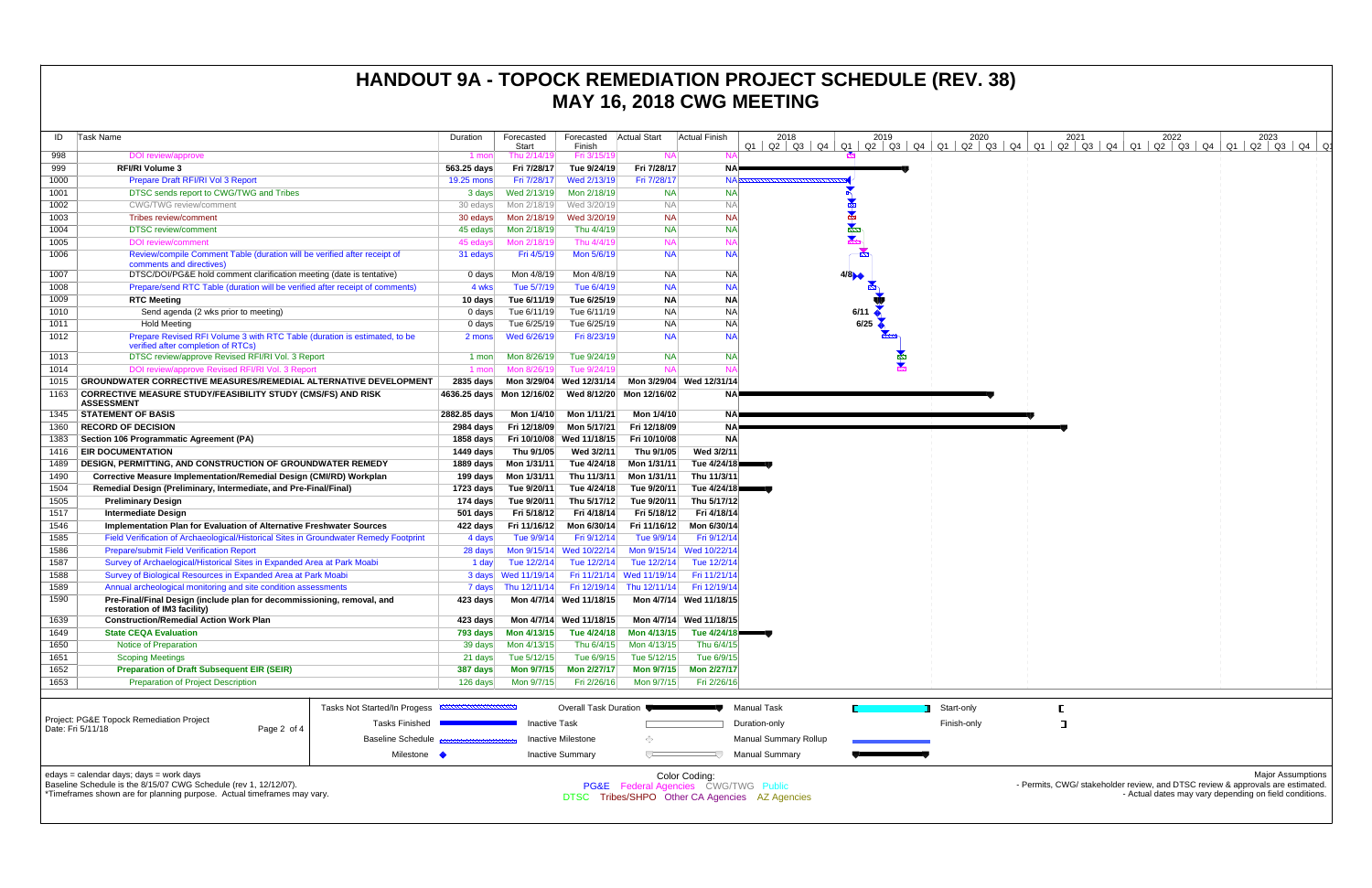| ID           | Task Name                                                                                                   | Duration                     | Forecasted                 | Forecasted                 | <b>Actual Start</b>                               | <b>Actual Finish</b>                                             | 2018                                           | 2019                 | 2020        | 2021                                                                            | 2022 | 2023                                                   |  |
|--------------|-------------------------------------------------------------------------------------------------------------|------------------------------|----------------------------|----------------------------|---------------------------------------------------|------------------------------------------------------------------|------------------------------------------------|----------------------|-------------|---------------------------------------------------------------------------------|------|--------------------------------------------------------|--|
|              |                                                                                                             |                              | Start                      | Finish                     |                                                   |                                                                  | $Q1$   Q2   Q3   Q4   Q1   Q2   Q3   Q4   Q1   |                      |             | $Q2$ $Q3$ $Q4$ $Q1$ $Q2$ $Q3$ $Q4$ $Q1$ $Q2$ $Q3$ $Q4$ $Q1$ $Q2$ $Q3$ $Q4$ $Q1$ |      |                                                        |  |
| 998          | DOI review/approve<br><b>RFI/RI Volume 3</b>                                                                | 1 mon                        | Thu 2/14/19                | Fri 3/15/19                | <b>NA</b>                                         |                                                                  |                                                |                      |             |                                                                                 |      |                                                        |  |
| 999<br>1000  | Prepare Draft RFI/RI Vol 3 Report                                                                           | 563.25 days                  | Fri 7/28/17<br>Fri 7/28/17 | Tue 9/24/19<br>Wed 2/13/19 | Fri 7/28/17<br>Fri 7/28/17                        | NA-<br><b>NAF</b>                                                |                                                |                      |             |                                                                                 |      |                                                        |  |
|              | DTSC sends report to CWG/TWG and Tribes                                                                     | 19.25 mons                   | Wed 2/13/19                | Mon 2/18/19                | <b>NA</b>                                         | <b>NA</b>                                                        |                                                |                      |             |                                                                                 |      |                                                        |  |
| 1001<br>1002 | <b>CWG/TWG</b> review/comment                                                                               | 3 days                       | Mon 2/18/19                | Wed 3/20/19                | <b>NA</b>                                         | <b>NA</b>                                                        |                                                |                      |             |                                                                                 |      |                                                        |  |
| 1003         | Tribes review/comment                                                                                       | 30 edays                     | Mon 2/18/19                | Wed 3/20/19                | <b>NA</b>                                         | <b>NA</b>                                                        |                                                |                      |             |                                                                                 |      |                                                        |  |
| 1004         | <b>DTSC</b> review/comment                                                                                  | 30 edays<br>45 edays         | Mon 2/18/19                | Thu 4/4/19                 | <b>NA</b>                                         | <b>NA</b>                                                        |                                                |                      |             |                                                                                 |      |                                                        |  |
| 1005         | <b>DOI</b> review/comment                                                                                   | 45 edays                     | Mon 2/18/19                | Thu 4/4/19                 | <b>NA</b>                                         | <b>NA</b>                                                        |                                                |                      |             |                                                                                 |      |                                                        |  |
| 1006         | Review/compile Comment Table (duration will be verified after receipt of                                    |                              | Fri 4/5/19                 | Mon 5/6/19                 | <b>NA</b>                                         | <b>NA</b>                                                        |                                                | - 22                 |             |                                                                                 |      |                                                        |  |
|              | comments and directives)                                                                                    | 31 edays                     |                            |                            |                                                   |                                                                  |                                                |                      |             |                                                                                 |      |                                                        |  |
| 1007         | DTSC/DOI/PG&E hold comment clarification meeting (date is tentative)                                        | 0 days                       | Mon 4/8/19                 | Mon 4/8/19                 | NA.                                               | <b>NA</b>                                                        |                                                | 4/8                  |             |                                                                                 |      |                                                        |  |
| 1008         | Prepare/send RTC Table (duration will be verified after receipt of comments)                                | 4 wks                        | Tue 5/7/19                 | Tue 6/4/19                 | <b>NA</b>                                         | <b>NA</b>                                                        |                                                |                      |             |                                                                                 |      |                                                        |  |
| 1009         | <b>RTC Meeting</b>                                                                                          | 10 days                      | Tue 6/11/19                | Tue 6/25/19                | <b>NA</b>                                         | <b>NA</b>                                                        |                                                |                      |             |                                                                                 |      |                                                        |  |
| 1010         | Send agenda (2 wks prior to meeting)                                                                        | 0 days                       | Tue 6/11/19                | Tue 6/11/19                | <b>NA</b>                                         | <b>NA</b>                                                        |                                                | 6/11                 |             |                                                                                 |      |                                                        |  |
| 1011         | <b>Hold Meeting</b>                                                                                         | 0 days                       | Tue 6/25/19                | Tue 6/25/19                | <b>NA</b>                                         | <b>NA</b>                                                        |                                                | $6/25$ $\rightarrow$ |             |                                                                                 |      |                                                        |  |
| 1012         | Prepare Revised RFI Volume 3 with RTC Table (duration is estimated, to be                                   | 2 mons                       | Wed 6/26/19                | Fri 8/23/19                | <b>NA</b>                                         | <b>NA</b>                                                        |                                                |                      |             |                                                                                 |      |                                                        |  |
|              | verified after completion of RTCs)                                                                          |                              |                            |                            |                                                   |                                                                  |                                                |                      |             |                                                                                 |      |                                                        |  |
| 1013         | DTSC review/approve Revised RFI/RI Vol. 3 Report                                                            | 1 mon                        | Mon 8/26/19                | Tue 9/24/19                | <b>NA</b>                                         | <b>NA</b>                                                        |                                                |                      |             |                                                                                 |      |                                                        |  |
| 1014         | DOI review/approve Revised RFI/RI Vol. 3 Report                                                             | 1 mon                        | Mon 8/26/19                | Tue 9/24/19                | <b>NA</b>                                         | N/                                                               |                                                |                      |             |                                                                                 |      |                                                        |  |
| 1015         | <b>GROUNDWATER CORRECTIVE MEASURES/REMEDIAL ALTERNATIVE DEVELOPMENT</b>                                     | 2835 days                    |                            |                            | Mon 3/29/04 Wed 12/31/14 Mon 3/29/04 Wed 12/31/14 |                                                                  |                                                |                      |             |                                                                                 |      |                                                        |  |
| 1163         | <b>CORRECTIVE MEASURE STUDY/FEASIBILITY STUDY (CMS/FS) AND RISK</b><br><b>ASSESSMENT</b>                    |                              | 4636.25 days Mon 12/16/02  |                            | Wed 8/12/20 Mon 12/16/02                          | NAE                                                              |                                                |                      |             |                                                                                 |      |                                                        |  |
| 1345         | <b>STATEMENT OF BASIS</b>                                                                                   | 2882.85 days                 | Mon 1/4/10                 | Mon 1/11/21                | Mon 1/4/10                                        | NAE                                                              |                                                |                      |             |                                                                                 |      |                                                        |  |
| 1360         | <b>RECORD OF DECISION</b>                                                                                   | 2984 days                    | Fri 12/18/09               | Mon 5/17/21                | Fri 12/18/09                                      | <b>NA</b>                                                        |                                                |                      |             |                                                                                 |      |                                                        |  |
| 1383         | Section 106 Programmatic Agreement (PA)                                                                     | 1858 days                    | Fri 10/10/08               | Wed 11/18/15               | Fri 10/10/08                                      | <b>NA</b>                                                        |                                                |                      |             |                                                                                 |      |                                                        |  |
| 1416         | <b>EIR DOCUMENTATION</b>                                                                                    | 1449 days                    | Thu 9/1/05                 | Wed 3/2/11                 | Thu 9/1/05                                        | Wed 3/2/11                                                       |                                                |                      |             |                                                                                 |      |                                                        |  |
| 1489         | <b>DESIGN, PERMITTING, AND CONSTRUCTION OF GROUNDWATER REMEDY</b>                                           | 1889 days                    | Mon 1/31/11                | Tue 4/24/18                | Mon 1/31/11                                       | Tue 4/24/18                                                      |                                                |                      |             |                                                                                 |      |                                                        |  |
| 1490         | Corrective Measure Implementation/Remedial Design (CMI/RD) Workplan                                         | 199 days                     | Mon 1/31/11                | Thu 11/3/11                | Mon 1/31/11                                       | Thu 11/3/11                                                      |                                                |                      |             |                                                                                 |      |                                                        |  |
| 1504         | Remedial Design (Preliminary, Intermediate, and Pre-Final/Final)                                            | 1723 days                    | Tue 9/20/11                | Tue 4/24/18                | Tue 9/20/11                                       | Tue 4/24/18                                                      |                                                |                      |             |                                                                                 |      |                                                        |  |
| 1505         | <b>Preliminary Design</b>                                                                                   | 174 days                     | Tue 9/20/11                | Thu 5/17/12                | Tue 9/20/11                                       | Thu 5/17/12                                                      |                                                |                      |             |                                                                                 |      |                                                        |  |
| 1517         | <b>Intermediate Design</b>                                                                                  | 501 days                     | Fri 5/18/12                | Fri 4/18/14                | Fri 5/18/12                                       | Fri 4/18/14                                                      |                                                |                      |             |                                                                                 |      |                                                        |  |
| 1546         | Implementation Plan for Evaluation of Alternative Freshwater Sources                                        | 422 days                     | Fri 11/16/12               | Mon 6/30/14                | Fri 11/16/12                                      | Mon 6/30/14                                                      |                                                |                      |             |                                                                                 |      |                                                        |  |
| 1585         | Field Verification of Archaeological/Historical Sites in Groundwater Remedy Footprint                       | 4 days                       | Tue 9/9/14                 | Fri 9/12/14                | Tue 9/9/14                                        | Fri 9/12/14                                                      |                                                |                      |             |                                                                                 |      |                                                        |  |
| 1586         | <b>Prepare/submit Field Verification Report</b>                                                             | 28 days                      |                            | Mon 9/15/14 Wed 10/22/14   |                                                   | Mon 9/15/14 Wed 10/22/14                                         |                                                |                      |             |                                                                                 |      |                                                        |  |
| 1587         | Survey of Archaelogical/Historical Sites in Expanded Area at Park Moabi                                     | 1 day                        | Tue 12/2/14                | Tue 12/2/14                | Tue 12/2/14                                       | Tue 12/2/14                                                      |                                                |                      |             |                                                                                 |      |                                                        |  |
| 1588         | Survey of Biological Resources in Expanded Area at Park Moabi                                               |                              | 3 days Wed 11/19/14        |                            | Fri 11/21/14 Wed 11/19/14                         | Fri 11/21/14                                                     |                                                |                      |             |                                                                                 |      |                                                        |  |
| 1589         | Annual archeological monitoring and site condition assessments                                              | 7 days                       | Thu 12/11/14               |                            | Fri 12/19/14 Thu 12/11/14                         | Fri 12/19/14                                                     |                                                |                      |             |                                                                                 |      |                                                        |  |
| 1590         | Pre-Final/Final Design (include plan for decommissioning, removal, and                                      | 423 days                     |                            | Mon 4/7/14 Wed 11/18/15    |                                                   | Mon 4/7/14 Wed 11/18/15                                          |                                                |                      |             |                                                                                 |      |                                                        |  |
| 1639         | restoration of IM3 facility)<br><b>Construction/Remedial Action Work Plan</b>                               | 423 days                     |                            | Mon 4/7/14 Wed 11/18/15    |                                                   | Mon 4/7/14 Wed 11/18/15                                          |                                                |                      |             |                                                                                 |      |                                                        |  |
| 1649         | <b>State CEQA Evaluation</b>                                                                                | 793 days                     | Mon 4/13/15                | Tue 4/24/18                | Mon 4/13/15                                       | Tue 4/24/18                                                      |                                                |                      |             |                                                                                 |      |                                                        |  |
| 1650         | <b>Notice of Preparation</b>                                                                                | 39 days                      | Mon 4/13/15                | Thu 6/4/15                 | Mon 4/13/15                                       | Thu 6/4/15                                                       |                                                |                      |             |                                                                                 |      |                                                        |  |
| 1651         | <b>Scoping Meetings</b>                                                                                     | 21 days                      | Tue 5/12/15                | Tue 6/9/15                 | Tue 5/12/15                                       | Tue 6/9/15                                                       |                                                |                      |             |                                                                                 |      |                                                        |  |
| 1652         | <b>Preparation of Draft Subsequent EIR (SEIR)</b>                                                           | 387 days                     | Mon 9/7/15                 | Mon 2/27/17                | <b>Mon 9/7/15</b>                                 | Mon 2/27/17                                                      |                                                |                      |             |                                                                                 |      |                                                        |  |
| 1653         | <b>Preparation of Project Description</b>                                                                   | 126 days                     | Mon 9/7/15                 | Fri 2/26/16                | Mon 9/7/15                                        | Fri 2/26/16                                                      |                                                |                      |             |                                                                                 |      |                                                        |  |
|              |                                                                                                             |                              |                            |                            |                                                   |                                                                  |                                                |                      |             |                                                                                 |      |                                                        |  |
|              | Tasks Not Started/In Progess                                                                                | ,,,,,,,,,,,,,,,,,,,,,,,,,,,, |                            | Overall Task Duration      |                                                   |                                                                  | <b>Manual Task</b>                             |                      | Start-only  |                                                                                 |      |                                                        |  |
|              | Project: PG&E Topock Remediation Project                                                                    |                              |                            |                            |                                                   |                                                                  |                                                |                      |             |                                                                                 |      |                                                        |  |
|              | <b>Tasks Finished</b><br>Date: Fri 5/11/18<br>Page 2 of 4                                                   |                              | <b>Inactive Task</b>       |                            |                                                   |                                                                  | Duration-only                                  |                      | Finish-only |                                                                                 |      |                                                        |  |
|              | <b>Baseline Schedule</b>                                                                                    |                              |                            | <b>Inactive Milestone</b>  | $\langle \rangle$                                 |                                                                  | <b>Manual Summary Rollup</b>                   |                      |             |                                                                                 |      |                                                        |  |
|              | Milestone                                                                                                   | $\bullet$                    |                            | <b>Inactive Summary</b>    |                                                   |                                                                  | <b>Manual Summary</b>                          |                      |             |                                                                                 |      |                                                        |  |
|              |                                                                                                             |                              |                            |                            |                                                   |                                                                  |                                                |                      |             |                                                                                 |      |                                                        |  |
|              | edays = calendar days; days = work days<br>Baseline Schedule is the 8/15/07 CWG Schedule (rev 1, 12/12/07). |                              |                            |                            |                                                   | Color Coding:<br><b>PG&amp;E</b> Federal Agencies CWG/TWG Public |                                                |                      |             | - Permits, CWG/ stakeholder review, and DTSC review & approvals are estimated.  |      | <b>Major Assumptions</b>                               |  |
|              | *Timeframes shown are for planning purpose. Actual timeframes may vary.                                     |                              |                            |                            |                                                   |                                                                  | DTSC Tribes/SHPO Other CA Agencies AZ Agencies |                      |             |                                                                                 |      | - Actual dates may vary depending on field conditions. |  |
|              |                                                                                                             |                              |                            |                            |                                                   |                                                                  |                                                |                      |             |                                                                                 |      |                                                        |  |
|              |                                                                                                             |                              |                            |                            |                                                   |                                                                  |                                                |                      |             |                                                                                 |      |                                                        |  |

# **HANDOUT 9A - TOPOCK REMEDIATION PROJECT SCHEDULE (REV. 38) MAY 16, 2018 CWG MEETING**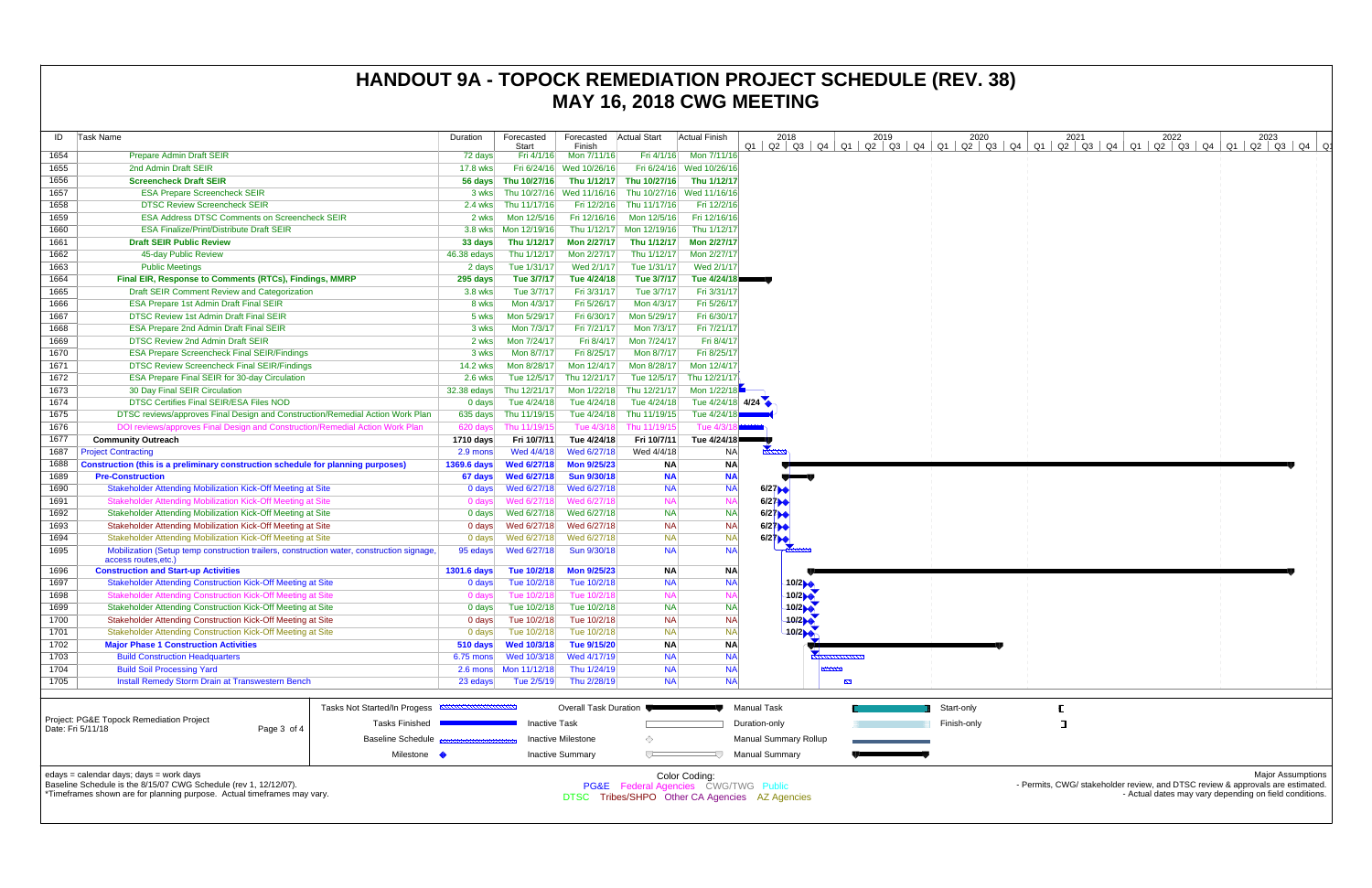| ID           | Task Name                                                                                                                                                                              | Duration           | Forecasted<br>Start            | Forecasted Actual Start<br>Finish |                                      | <b>Actual Finish</b>     | 2018                                           | 2019<br>01 02 03 04 01 02 03 04 01 02 03 04 01 02 03 04 01 02 03 04 01 02 03 04 01 02 03 04 | 2020        |  | 2021 |  | 2022                                                                                                                                     | 2023 |                          |
|--------------|----------------------------------------------------------------------------------------------------------------------------------------------------------------------------------------|--------------------|--------------------------------|-----------------------------------|--------------------------------------|--------------------------|------------------------------------------------|---------------------------------------------------------------------------------------------|-------------|--|------|--|------------------------------------------------------------------------------------------------------------------------------------------|------|--------------------------|
| 1654         | <b>Prepare Admin Draft SEIR</b>                                                                                                                                                        | 72 days            | Fri 4/1/16                     | Mon 7/11/16                       |                                      | Fri 4/1/16 Mon 7/11/16   |                                                |                                                                                             |             |  |      |  |                                                                                                                                          |      |                          |
| 1655         | 2nd Admin Draft SEIR                                                                                                                                                                   | 17.8 wks           |                                | Fri 6/24/16 Wed 10/26/16          |                                      | Fri 6/24/16 Wed 10/26/16 |                                                |                                                                                             |             |  |      |  |                                                                                                                                          |      |                          |
| 1656         | <b>Screencheck Draft SEIR</b>                                                                                                                                                          | 56 days            | Thu 10/27/16                   |                                   | Thu 1/12/17 Thu 10/27/16             | Thu 1/12/17              |                                                |                                                                                             |             |  |      |  |                                                                                                                                          |      |                          |
| 1657         | <b>ESA Prepare Screencheck SEIR</b>                                                                                                                                                    | 3 wks              | Thu 10/27/16                   | Wed 11/16/16                      | Thu 10/27/16 Wed 11/16/16            |                          |                                                |                                                                                             |             |  |      |  |                                                                                                                                          |      |                          |
| 1658         | <b>DTSC Review Screencheck SEIR</b>                                                                                                                                                    | 2.4 wks            | Thu 11/17/16                   |                                   | Fri 12/2/16 Thu 11/17/16             | Fri 12/2/16              |                                                |                                                                                             |             |  |      |  |                                                                                                                                          |      |                          |
| 1659         | <b>ESA Address DTSC Comments on Screencheck SEIR</b>                                                                                                                                   | 2 wks              | Mon 12/5/16                    |                                   | Fri 12/16/16 Mon 12/5/16             | Fri 12/16/16             |                                                |                                                                                             |             |  |      |  |                                                                                                                                          |      |                          |
| 1660         | <b>ESA Finalize/Print/Distribute Draft SEIR</b>                                                                                                                                        | 3.8 wks            | Mon 12/19/16                   |                                   | Thu 1/12/17 Mon 12/19/16             | Thu 1/12/17              |                                                |                                                                                             |             |  |      |  |                                                                                                                                          |      |                          |
| 1661         | <b>Draft SEIR Public Review</b>                                                                                                                                                        | 33 days            | Thu 1/12/17                    | <b>Mon 2/27/17</b>                | Thu 1/12/17                          | Mon 2/27/17              |                                                |                                                                                             |             |  |      |  |                                                                                                                                          |      |                          |
| 1662         | 45-day Public Review                                                                                                                                                                   | 46.38 edays        | Thu 1/12/17                    | Mon 2/27/17                       | Thu 1/12/17                          | Mon 2/27/17              |                                                |                                                                                             |             |  |      |  |                                                                                                                                          |      |                          |
| 1663         | <b>Public Meetings</b>                                                                                                                                                                 | 2 days             | Tue 1/31/17                    | Wed 2/1/17                        | Tue 1/31/17                          | Wed 2/1/17               |                                                |                                                                                             |             |  |      |  |                                                                                                                                          |      |                          |
| 1664         | Final EIR, Response to Comments (RTCs), Findings, MMRP                                                                                                                                 | 295 days           | Tue 3/7/17                     | Tue 4/24/18                       | Tue 3/7/17                           | Tue 4/24/18              |                                                |                                                                                             |             |  |      |  |                                                                                                                                          |      |                          |
| 1665         | Draft SEIR Comment Review and Categorization                                                                                                                                           | 3.8 wks            | Tue 3/7/17                     | Fri 3/31/17                       | Tue 3/7/17                           | Fri 3/31/17              |                                                |                                                                                             |             |  |      |  |                                                                                                                                          |      |                          |
| 1666         | <b>ESA Prepare 1st Admin Draft Final SEIR</b>                                                                                                                                          | 8 wks              | Mon 4/3/17                     | Fri 5/26/17                       | Mon 4/3/17                           | Fri 5/26/17              |                                                |                                                                                             |             |  |      |  |                                                                                                                                          |      |                          |
| 1667         | <b>DTSC Review 1st Admin Draft Final SEIR</b>                                                                                                                                          | 5 wks              | Mon 5/29/17                    | Fri 6/30/17                       | Mon 5/29/17                          | Fri 6/30/17              |                                                |                                                                                             |             |  |      |  |                                                                                                                                          |      |                          |
| 1668         | <b>ESA Prepare 2nd Admin Draft Final SEIR</b>                                                                                                                                          | 3 wks              | Mon 7/3/17                     | Fri 7/21/17                       | Mon 7/3/17                           | Fri 7/21/17              |                                                |                                                                                             |             |  |      |  |                                                                                                                                          |      |                          |
| 1669         | DTSC Review 2nd Admin Draft SEIR                                                                                                                                                       | 2 wks              | Mon 7/24/17                    | Fri 8/4/17                        | Mon 7/24/17                          | Fri 8/4/17               |                                                |                                                                                             |             |  |      |  |                                                                                                                                          |      |                          |
| 1670         | <b>ESA Prepare Screencheck Final SEIR/Findings</b>                                                                                                                                     | 3 wks              | Mon 8/7/17                     | Fri 8/25/17                       | Mon 8/7/17                           | Fri 8/25/17              |                                                |                                                                                             |             |  |      |  |                                                                                                                                          |      |                          |
| 1671         | <b>DTSC Review Screencheck Final SEIR/Findings</b>                                                                                                                                     | <b>14.2 wks</b>    | Mon 8/28/17                    | Mon 12/4/17                       | Mon 8/28/17                          | Mon 12/4/17              |                                                |                                                                                             |             |  |      |  |                                                                                                                                          |      |                          |
| 1672         | ESA Prepare Final SEIR for 30-day Circulation                                                                                                                                          | 2.6 wks            | Tue 12/5/17                    | Thu 12/21/17                      | Tue 12/5/17                          | Thu 12/21/17             |                                                |                                                                                             |             |  |      |  |                                                                                                                                          |      |                          |
| 1673         | 30 Day Final SEIR Circulation                                                                                                                                                          | 32.38 edays        | Thu 12/21/17                   | Mon 1/22/18                       | Thu 12/21/17                         | Mon 1/22/18              |                                                |                                                                                             |             |  |      |  |                                                                                                                                          |      |                          |
| 1674         | <b>DTSC Certifies Final SEIR/ESA Files NOD</b>                                                                                                                                         | $0$ days           | Tue 4/24/18                    | Tue 4/24/18                       | Tue 4/24/18                          | Tue 4/24/18 4/24         |                                                |                                                                                             |             |  |      |  |                                                                                                                                          |      |                          |
| 1675         | DTSC reviews/approves Final Design and Construction/Remedial Action Work Plan                                                                                                          | 635 days           | Thu 11/19/15                   | Tue 4/24/18                       | Thu 11/19/15                         | Tue 4/24/18              |                                                |                                                                                             |             |  |      |  |                                                                                                                                          |      |                          |
| 1676         | DOI reviews/approves Final Design and Construction/Remedial Action Work Plan                                                                                                           | 620 days           | Thu 11/19/15                   | Tue 4/3/18                        | Thu 11/19/15                         | Tue 4/3/                 |                                                |                                                                                             |             |  |      |  |                                                                                                                                          |      |                          |
| 1677         | <b>Community Outreach</b>                                                                                                                                                              | 1710 days          | Fri 10/7/11                    | Tue 4/24/18                       | Fri 10/7/11                          | Tue 4/24/18              |                                                |                                                                                             |             |  |      |  |                                                                                                                                          |      |                          |
| 1687         | <b>Project Contracting</b>                                                                                                                                                             | 2.9 mons           | Wed 4/4/18                     | Wed 6/27/18                       | Wed 4/4/18                           | NA                       |                                                |                                                                                             |             |  |      |  |                                                                                                                                          |      |                          |
| 1688         | Construction (this is a preliminary construction schedule for planning purposes)                                                                                                       | 1369.6 days        | <b>Wed 6/27/18</b>             | <b>Mon 9/25/23</b>                | <b>NA</b>                            | <b>NA</b>                |                                                |                                                                                             |             |  |      |  |                                                                                                                                          |      |                          |
| 1689         | <b>Pre-Construction</b>                                                                                                                                                                | 67 days            | <b>Wed 6/27/18</b>             | <b>Sun 9/30/18</b>                | <b>NA</b>                            | <b>NA</b>                |                                                |                                                                                             |             |  |      |  |                                                                                                                                          |      |                          |
| 1690         | Stakeholder Attending Mobilization Kick-Off Meeting at Site                                                                                                                            | 0 days             | Wed 6/27/18                    | Wed 6/27/18                       | <b>NA</b>                            | <b>NA</b>                | 6/27                                           |                                                                                             |             |  |      |  |                                                                                                                                          |      |                          |
| 1691         | Stakeholder Attending Mobilization Kick-Off Meeting at Site                                                                                                                            | 0 days             | Wed 6/27/18                    | Wed 6/27/18                       | <b>NA</b>                            | <b>NA</b>                | 6/27                                           |                                                                                             |             |  |      |  |                                                                                                                                          |      |                          |
| 1692         | Stakeholder Attending Mobilization Kick-Off Meeting at Site                                                                                                                            | 0 days             | Wed 6/27/18                    | Wed 6/27/18                       | <b>NA</b>                            | <b>NA</b>                | 6/27                                           |                                                                                             |             |  |      |  |                                                                                                                                          |      |                          |
| 1693         | Stakeholder Attending Mobilization Kick-Off Meeting at Site                                                                                                                            | 0 days             | Wed 6/27/18                    | Wed 6/27/18                       | <b>NA</b>                            | <b>NA</b>                | 6/27                                           |                                                                                             |             |  |      |  |                                                                                                                                          |      |                          |
| 1694         | Stakeholder Attending Mobilization Kick-Off Meeting at Site                                                                                                                            | $0$ days           | Wed 6/27/18                    | Wed 6/27/18                       | <b>NA</b>                            | <b>NA</b>                | 6/27                                           |                                                                                             |             |  |      |  |                                                                                                                                          |      |                          |
| 1695         | Mobilization (Setup temp construction trailers, construction water, construction signage<br>access routes, etc.)                                                                       | 95 edays           | Wed 6/27/18                    | Sun 9/30/18                       | <b>NA</b>                            | <b>NA</b>                |                                                |                                                                                             |             |  |      |  |                                                                                                                                          |      |                          |
| 1696         | <b>Construction and Start-up Activities</b>                                                                                                                                            | <b>1301.6 days</b> | Tue 10/2/18                    | <b>Mon 9/25/23</b>                | <b>NA</b>                            | <b>NA</b>                |                                                |                                                                                             |             |  |      |  |                                                                                                                                          |      |                          |
| 1697         | <b>Stakeholder Attending Construction Kick-Off Meeting at Site</b>                                                                                                                     | 0 days             | Tue 10/2/18                    | Tue 10/2/18                       | <b>NA</b>                            | <b>NA</b>                | 10/2                                           |                                                                                             |             |  |      |  |                                                                                                                                          |      |                          |
| 1698         | <b>Stakeholder Attending Construction Kick-Off Meeting at Site</b>                                                                                                                     | $0$ days           | Tue 10/2/18                    | Tue 10/2/18                       | <b>NA</b>                            | <b>NA</b>                | 10/2                                           |                                                                                             |             |  |      |  |                                                                                                                                          |      |                          |
| 1699         | Stakeholder Attending Construction Kick-Off Meeting at Site                                                                                                                            |                    | 0 days Tue 10/2/18 Tue 10/2/18 |                                   | <b>NA</b>                            | <b>NA</b>                | 10/2                                           |                                                                                             |             |  |      |  |                                                                                                                                          |      |                          |
| 1700         | Stakeholder Attending Construction Kick-Off Meeting at Site                                                                                                                            | 0 days             | Tue 10/2/18                    | Tue 10/2/18                       | <b>NA</b>                            | <b>NA</b>                | 10/2                                           |                                                                                             |             |  |      |  |                                                                                                                                          |      |                          |
| 1701         | Stakeholder Attending Construction Kick-Off Meeting at Site                                                                                                                            | 0 days             | Tue 10/2/18                    | Tue 10/2/18                       | <b>NA</b>                            | <b>NA</b>                | 10/2                                           |                                                                                             |             |  |      |  |                                                                                                                                          |      |                          |
| 1702         | <b>Major Phase 1 Construction Activities</b>                                                                                                                                           | 510 days           | Wed 10/3/18                    | Tue 9/15/20                       | <b>NA</b>                            | <b>NA</b>                |                                                |                                                                                             |             |  |      |  |                                                                                                                                          |      |                          |
| 1703         | <b>Build Construction Headquarters</b>                                                                                                                                                 | $6.75$ mons        | Wed 10/3/18                    | Wed 4/17/19                       | <b>NA</b>                            | <b>NA</b>                |                                                |                                                                                             |             |  |      |  |                                                                                                                                          |      |                          |
| 1704<br>1705 | <b>Build Soil Processing Yard</b><br><b>Install Remedy Storm Drain at Transwestern Bench</b>                                                                                           | $2.6 \text{ mon}$  | Mon 11/12/18<br>Tue 2/5/19     | Thu 1/24/19<br>Thu 2/28/19        | <b>NA</b><br><b>NA</b>               | <b>NA</b><br><b>NA</b>   |                                                | $\mathbb{Z}^n$                                                                              |             |  |      |  |                                                                                                                                          |      |                          |
|              |                                                                                                                                                                                        | 23 edays           |                                |                                   |                                      |                          |                                                |                                                                                             |             |  |      |  |                                                                                                                                          |      |                          |
|              |                                                                                                                                                                                        |                    |                                |                                   |                                      |                          |                                                |                                                                                             |             |  |      |  |                                                                                                                                          |      |                          |
|              | Tasks Not Started/In Progess<br>Project: PG&E Topock Remediation Project                                                                                                               |                    |                                | <b>Overall Task Duration</b>      |                                      |                          | Manual Task                                    |                                                                                             | Start-only  |  |      |  |                                                                                                                                          |      |                          |
|              | Tasks Finished<br>Date: Fri 5/11/18<br>Page 3 of 4                                                                                                                                     |                    | <b>Inactive Task</b>           |                                   |                                      |                          | Duration-only                                  |                                                                                             | Finish-only |  | п    |  |                                                                                                                                          |      |                          |
|              | <b>Baseline Schedule</b>                                                                                                                                                               |                    |                                | Inactive Milestone                | ◇                                    |                          | <b>Manual Summary Rollup</b>                   |                                                                                             |             |  |      |  |                                                                                                                                          |      |                          |
|              | Milestone                                                                                                                                                                              |                    |                                | <b>Inactive Summary</b>           | $\sqrt{}$                            |                          | <b>Manual Summary</b>                          |                                                                                             |             |  |      |  |                                                                                                                                          |      |                          |
|              | edays = calendar days; days = work days<br>Baseline Schedule is the 8/15/07 CWG Schedule (rev 1, 12/12/07).<br>*Timeframes shown are for planning purpose. Actual timeframes may vary. |                    |                                |                                   | PG&E Federal Agencies CWG/TWG Public | Color Coding:            | DTSC Tribes/SHPO Other CA Agencies AZ Agencies |                                                                                             |             |  |      |  | - Permits, CWG/ stakeholder review, and DTSC review & approvals are estimated.<br>- Actual dates may vary depending on field conditions. |      | <b>Major Assumptions</b> |

# **HANDOUT 9A - TOPOCK REMEDIATION PROJECT SCHEDULE (REV. 38) MAY 16, 2018 CWG MEETING**